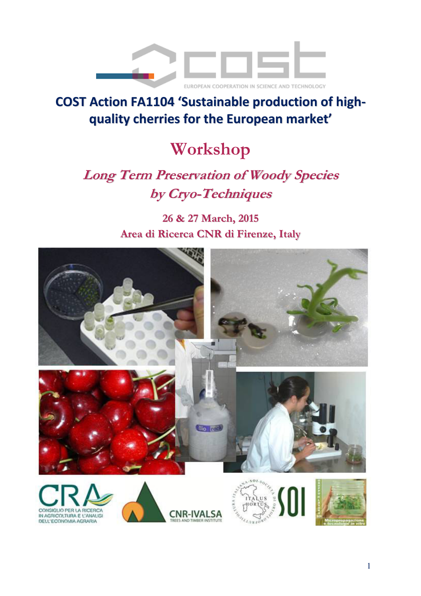

## **COST Action FA1104 'Sustainable production of highquality cherries for the European market'**

# **Workshop**

## **Long Term Preservation of Woody Species by Cryo-Techniques**

**26 & 27 March, 2015 Area di Ricerca CNR di Firenze, Italy**



DELL'ECONOMIA AGRARIA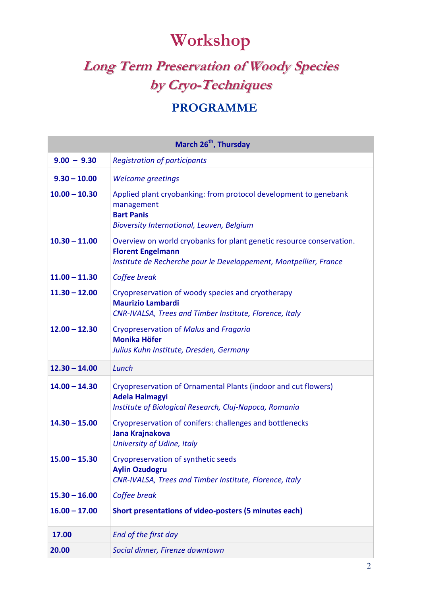# **Workshop**

## **Long Term Preservation of Woody Species by Cryo-Techniques**

### **PROGRAMME**

| March 26 <sup>th</sup> , Thursday |                                                                                                                                                                       |
|-----------------------------------|-----------------------------------------------------------------------------------------------------------------------------------------------------------------------|
| $9.00 - 9.30$                     | <b>Registration of participants</b>                                                                                                                                   |
| $9.30 - 10.00$                    | <b>Welcome greetings</b>                                                                                                                                              |
| $10.00 - 10.30$                   | Applied plant cryobanking: from protocol development to genebank<br>management<br><b>Bart Panis</b><br><b>Bioversity International, Leuven, Belgium</b>               |
| $10.30 - 11.00$                   | Overview on world cryobanks for plant genetic resource conservation.<br><b>Florent Engelmann</b><br>Institute de Recherche pour le Developpement, Montpellier, France |
| $11.00 - 11.30$                   | Coffee break                                                                                                                                                          |
| $11.30 - 12.00$                   | Cryopreservation of woody species and cryotherapy<br><b>Maurizio Lambardi</b><br>CNR-IVALSA, Trees and Timber Institute, Florence, Italy                              |
| $12.00 - 12.30$                   | Cryopreservation of Malus and Fragaria<br><b>Monika Höfer</b><br>Julius Kuhn Institute, Dresden, Germany                                                              |
| $12.30 - 14.00$                   | Lunch                                                                                                                                                                 |
| $14.00 - 14.30$                   | Cryopreservation of Ornamental Plants (indoor and cut flowers)<br><b>Adela Halmagyi</b><br>Institute of Biological Research, Cluj-Napoca, Romania                     |
| $14.30 - 15.00$                   | Cryopreservation of conifers: challenges and bottlenecks<br>Jana Krajnakova<br>University of Udine, Italy                                                             |
| $15.00 - 15.30$                   | Cryopreservation of synthetic seeds<br><b>Aylin Ozudogru</b><br>CNR-IVALSA, Trees and Timber Institute, Florence, Italy                                               |
| $15.30 - 16.00$                   | Coffee break                                                                                                                                                          |
| $16.00 - 17.00$                   | Short presentations of video-posters (5 minutes each)                                                                                                                 |
| 17.00                             | End of the first day                                                                                                                                                  |
| 20.00                             | Social dinner, Firenze downtown                                                                                                                                       |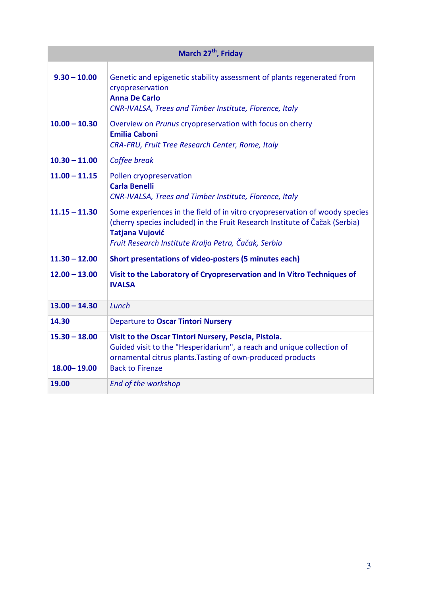| March 27 <sup>th</sup> , Friday |                                                                                                                                                                                                                                              |
|---------------------------------|----------------------------------------------------------------------------------------------------------------------------------------------------------------------------------------------------------------------------------------------|
| $9.30 - 10.00$                  | Genetic and epigenetic stability assessment of plants regenerated from<br>cryopreservation<br><b>Anna De Carlo</b><br>CNR-IVALSA, Trees and Timber Institute, Florence, Italy                                                                |
| $10.00 - 10.30$                 | Overview on Prunus cryopreservation with focus on cherry<br><b>Emilia Caboni</b><br>CRA-FRU, Fruit Tree Research Center, Rome, Italy                                                                                                         |
| $10.30 - 11.00$                 | Coffee break                                                                                                                                                                                                                                 |
| $11.00 - 11.15$                 | Pollen cryopreservation<br><b>Carla Benelli</b><br>CNR-IVALSA, Trees and Timber Institute, Florence, Italy                                                                                                                                   |
| $11.15 - 11.30$                 | Some experiences in the field of in vitro cryopreservation of woody species<br>(cherry species included) in the Fruit Research Institute of Čačak (Serbia)<br><b>Tatjana Vujović</b><br>Fruit Research Institute Kralja Petra, Čačak, Serbia |
| $11.30 - 12.00$                 | Short presentations of video-posters (5 minutes each)                                                                                                                                                                                        |
| $12.00 - 13.00$                 | Visit to the Laboratory of Cryopreservation and In Vitro Techniques of<br><b>IVALSA</b>                                                                                                                                                      |
| $13.00 - 14.30$                 | Lunch                                                                                                                                                                                                                                        |
| 14.30                           | Departure to Oscar Tintori Nursery                                                                                                                                                                                                           |
| $15.30 - 18.00$                 | Visit to the Oscar Tintori Nursery, Pescia, Pistoia.<br>Guided visit to the "Hesperidarium", a reach and unique collection of<br>ornamental citrus plants. Tasting of own-produced products                                                  |
| 18.00 - 19.00                   | <b>Back to Firenze</b>                                                                                                                                                                                                                       |
| 19.00                           | End of the workshop                                                                                                                                                                                                                          |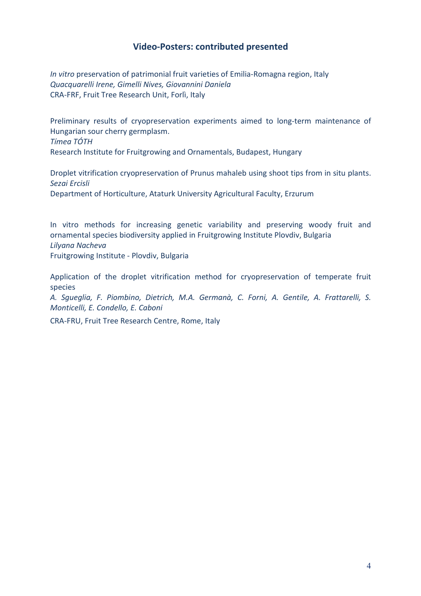### **Video-Posters: contributed presented**

*In vitro* preservation of patrimonial fruit varieties of Emilia-Romagna region, Italy *Quacquarelli Irene, Gimelli Nives, Giovannini Daniela*  CRA-FRF, Fruit Tree Research Unit, Forlì, Italy

Preliminary results of cryopreservation experiments aimed to long-term maintenance of Hungarian sour cherry germplasm. *Tímea TÓTH*  Research Institute for Fruitgrowing and Ornamentals, Budapest, Hungary

Droplet vitrification cryopreservation of Prunus mahaleb using shoot tips from in situ plants. *Sezai Ercisli*  Department of Horticulture, Ataturk University Agricultural Faculty, Erzurum

In vitro methods for increasing genetic variability and preserving woody fruit and ornamental species biodiversity applied in Fruitgrowing Institute Plovdiv, Bulgaria *Lilyana Nacheva*  Fruitgrowing Institute - Plovdiv, Bulgaria

Application of the droplet vitrification method for cryopreservation of temperate fruit species

*A. Sgueglia, F. Piombino, Dietrich, M.A. Germanà, C. Forni, A. Gentile, A. Frattarelli, S. Monticelli, E. Condello, E. Caboni* 

CRA-FRU, Fruit Tree Research Centre, Rome, Italy